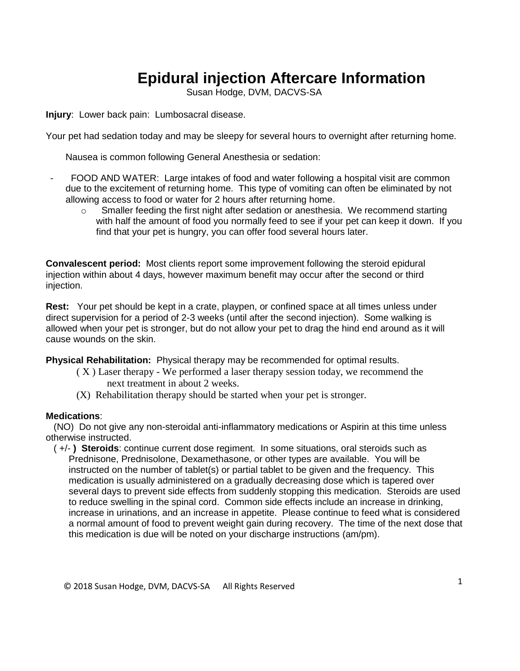## **Epidural injection Aftercare Information**

Susan Hodge, DVM, DACVS-SA

**Injury**: Lower back pain: Lumbosacral disease.

Your pet had sedation today and may be sleepy for several hours to overnight after returning home.

Nausea is common following General Anesthesia or sedation:

- FOOD AND WATER: Large intakes of food and water following a hospital visit are common due to the excitement of returning home. This type of vomiting can often be eliminated by not allowing access to food or water for 2 hours after returning home.
	- $\circ$  Smaller feeding the first night after sedation or anesthesia. We recommend starting with half the amount of food you normally feed to see if your pet can keep it down. If you find that your pet is hungry, you can offer food several hours later.

**Convalescent period:** Most clients report some improvement following the steroid epidural injection within about 4 days, however maximum benefit may occur after the second or third injection.

**Rest:** Your pet should be kept in a crate, playpen, or confined space at all times unless under direct supervision for a period of 2-3 weeks (until after the second injection). Some walking is allowed when your pet is stronger, but do not allow your pet to drag the hind end around as it will cause wounds on the skin.

**Physical Rehabilitation:** Physical therapy may be recommended for optimal results.

- ( X ) Laser therapy We performed a laser therapy session today, we recommend the next treatment in about 2 weeks.
- (X) Rehabilitation therapy should be started when your pet is stronger.

## **Medications**:

 (NO) Do not give any non-steroidal anti-inflammatory medications or Aspirin at this time unless otherwise instructed.

 ( +/- **) Steroids**: continue current dose regiment. In some situations, oral steroids such as Prednisone, Prednisolone, Dexamethasone, or other types are available. You will be instructed on the number of tablet(s) or partial tablet to be given and the frequency. This medication is usually administered on a gradually decreasing dose which is tapered over several days to prevent side effects from suddenly stopping this medication. Steroids are used to reduce swelling in the spinal cord. Common side effects include an increase in drinking, increase in urinations, and an increase in appetite. Please continue to feed what is considered a normal amount of food to prevent weight gain during recovery. The time of the next dose that this medication is due will be noted on your discharge instructions (am/pm).